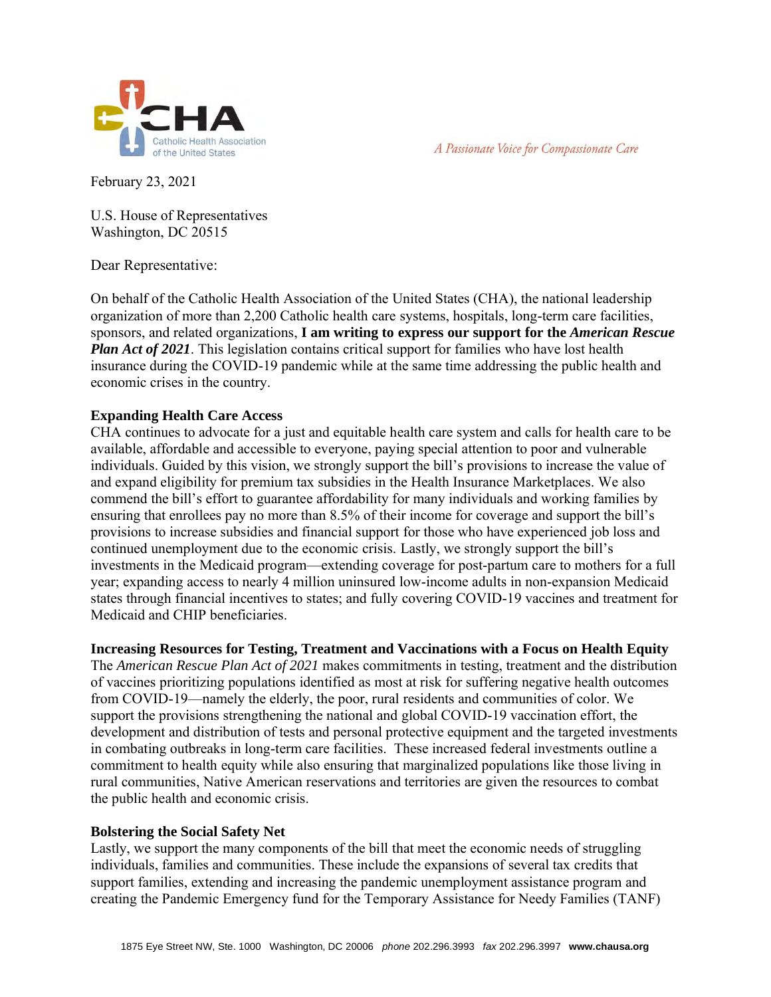



February 23, 2021

U.S. House of Representatives Washington, DC 20515

Dear Representative:

On behalf of the Catholic Health Association of the United States (CHA), the national leadership organization of more than 2,200 Catholic health care systems, hospitals, long-term care facilities, sponsors, and related organizations, **I am writing to express our support for the** *American Rescue Plan Act of 2021*. This legislation contains critical support for families who have lost health insurance during the COVID-19 pandemic while at the same time addressing the public health and economic crises in the country.

## **Expanding Health Care Access**

CHA continues to advocate for a just and equitable health care system and calls for health care to be available, affordable and accessible to everyone, paying special attention to poor and vulnerable individuals. Guided by this vision, we strongly support the bill's provisions to increase the value of and expand eligibility for premium tax subsidies in the Health Insurance Marketplaces. We also commend the bill's effort to guarantee affordability for many individuals and working families by ensuring that enrollees pay no more than 8.5% of their income for coverage and support the bill's provisions to increase subsidies and financial support for those who have experienced job loss and continued unemployment due to the economic crisis. Lastly, we strongly support the bill's investments in the Medicaid program—extending coverage for post-partum care to mothers for a full year; expanding access to nearly 4 million uninsured low-income adults in non-expansion Medicaid states through financial incentives to states; and fully covering COVID-19 vaccines and treatment for Medicaid and CHIP beneficiaries.

## **Increasing Resources for Testing, Treatment and Vaccinations with a Focus on Health Equity**

The *American Rescue Plan Act of 2021* makes commitments in testing, treatment and the distribution of vaccines prioritizing populations identified as most at risk for suffering negative health outcomes from COVID-19—namely the elderly, the poor, rural residents and communities of color. We support the provisions strengthening the national and global COVID-19 vaccination effort, the development and distribution of tests and personal protective equipment and the targeted investments in combating outbreaks in long-term care facilities. These increased federal investments outline a commitment to health equity while also ensuring that marginalized populations like those living in rural communities, Native American reservations and territories are given the resources to combat the public health and economic crisis.

## **Bolstering the Social Safety Net**

Lastly, we support the many components of the bill that meet the economic needs of struggling individuals, families and communities. These include the expansions of several tax credits that support families, extending and increasing the pandemic unemployment assistance program and creating the Pandemic Emergency fund for the Temporary Assistance for Needy Families (TANF)